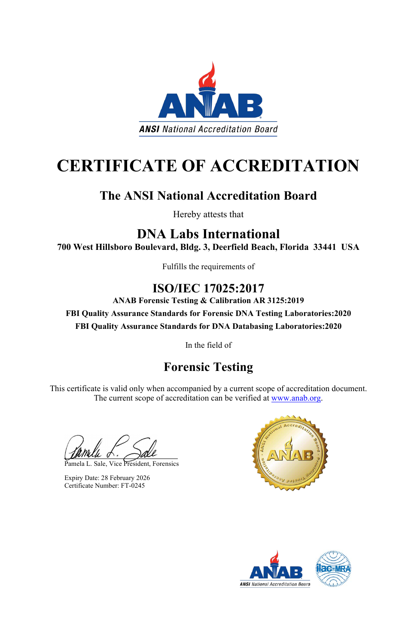



# **CERTIFICATE OF ACCREDITATION**

## **The ANSI National Accreditation Board**

Hereby attests that

### **DNA Labs International 700 West Hillsboro Boulevard, Bldg. 3, Deerfield Beach, Florida 33441 USA**

Fulfills the requirements of

### **ISO/IEC 17025:2017**

This certificate is valid only when accompanied by a current scope of accreditation document. The current scope of accreditation can be verified at [www.anab.org.](http://www.anab.org/)

**ANAB Forensic Testing & Calibration AR 3125:2019 FBI Quality Assurance Standards for Forensic DNA Testing Laboratories:2020 FBI Quality Assurance Standards for DNA Databasing Laboratories:2020**

In the field of

# **Forensic Testing**

Pamela L. Sale, Vice President, Forensics



Expiry Date: 28 February 2026 Certificate Number: FT-0245